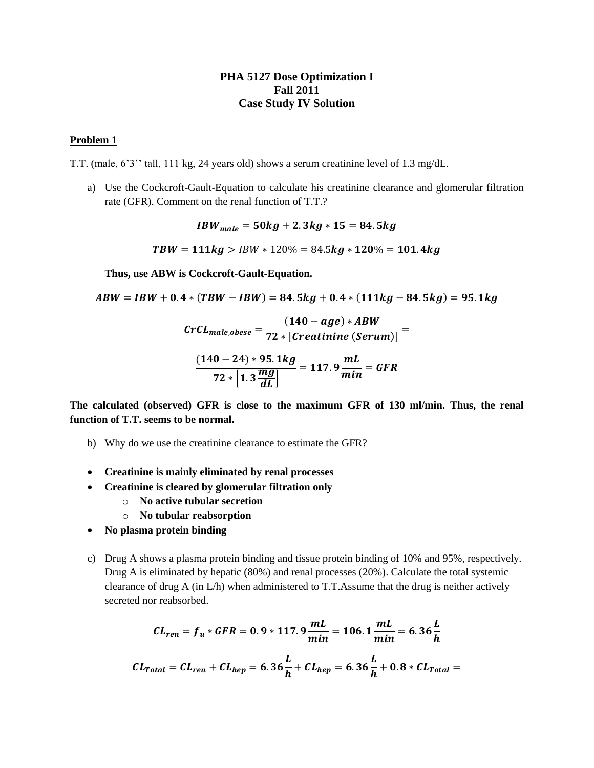## **PHA 5127 Dose Optimization I Fall 2011 Case Study IV Solution**

## **Problem 1**

T.T. (male, 6'3'' tall, 111 kg, 24 years old) shows a serum creatinine level of 1.3 mg/dL.

a) Use the Cockcroft-Gault-Equation to calculate his creatinine clearance and glomerular filtration rate (GFR). Comment on the renal function of T.T.?

 $IBW_{male} = 50kg + 2.3kg * 15 = 84.5kg$ 

 $TBW = 111kg > IBW * 120\% = 84.5kg * 120\% = 101.4kg$ 

**Thus, use ABW is Cockcroft-Gault-Equation.**

 $ABW = IBW + 0.4 * (TBW - IBW) = 84.5kg + 0.4 * (111kg - 84.5kg) = 95.1kg$ 

$$
CrCL_{male,obese} = \frac{(140 - age) * ABW}{72 * [Creatinine (Serum)]} = \frac{(140 - 24) * 95.1 kg}{72 * [1.3 \frac{mg}{dL}]} = 117.9 \frac{mL}{min} = GFR
$$

**The calculated (observed) GFR is close to the maximum GFR of 130 ml/min. Thus, the renal function of T.T. seems to be normal.**

- b) Why do we use the creatinine clearance to estimate the GFR?
- **Creatinine is mainly eliminated by renal processes**
- **Creatinine is cleared by glomerular filtration only**
	- o **No active tubular secretion**
	- o **No tubular reabsorption**
- **No plasma protein binding**
- c) Drug A shows a plasma protein binding and tissue protein binding of 10% and 95%, respectively. Drug A is eliminated by hepatic (80%) and renal processes (20%). Calculate the total systemic clearance of drug A (in L/h) when administered to T.T.Assume that the drug is neither actively secreted nor reabsorbed.

$$
CL_{ren} = f_u * GFR = 0.9 * 117.9 \frac{mL}{min} = 106.1 \frac{mL}{min} = 6.36 \frac{L}{h}
$$

$$
CL_{Total} = CL_{ren} + CL_{hep} = 6.36 \frac{L}{h} + CL_{hep} = 6.36 \frac{L}{h} + 0.8 * CL_{Total} =
$$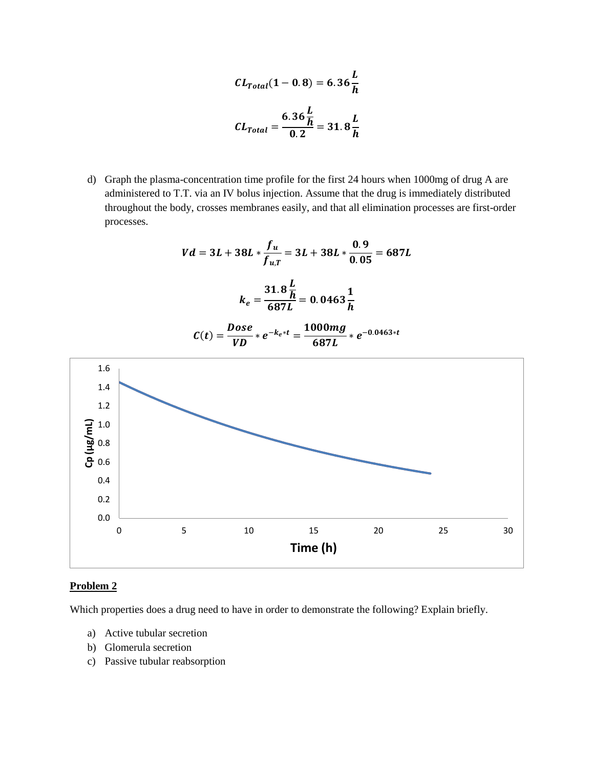$$
CL_{Total}(1 - 0.8) = 6.36 \frac{L}{h}
$$

$$
CL_{Total} = \frac{6.36 \frac{L}{h}}{0.2} = 31.8 \frac{L}{h}
$$

d) Graph the plasma-concentration time profile for the first 24 hours when 1000mg of drug A are administered to T.T. via an IV bolus injection. Assume that the drug is immediately distributed throughout the body, crosses membranes easily, and that all elimination processes are first-order processes.

$$
Vd = 3L + 38L * \frac{f_u}{f_{u,T}} = 3L + 38L * \frac{0.9}{0.05} = 687L
$$

$$
k_e = \frac{31.8 \frac{L}{h}}{687L} = 0.0463 \frac{1}{h}
$$

$$
C(t) = \frac{Dose}{VD} * e^{-k_e * t} = \frac{1000mg}{687L} * e^{-0.0463 * t}
$$



## **Problem 2**

Which properties does a drug need to have in order to demonstrate the following? Explain briefly.

- a) Active tubular secretion
- b) Glomerula secretion
- c) Passive tubular reabsorption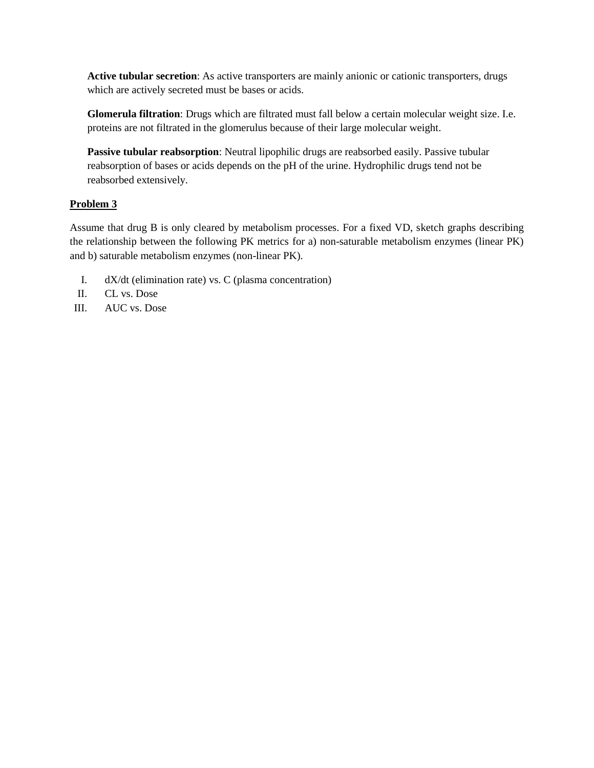**Active tubular secretion**: As active transporters are mainly anionic or cationic transporters, drugs which are actively secreted must be bases or acids.

**Glomerula filtration**: Drugs which are filtrated must fall below a certain molecular weight size. I.e. proteins are not filtrated in the glomerulus because of their large molecular weight.

**Passive tubular reabsorption**: Neutral lipophilic drugs are reabsorbed easily. Passive tubular reabsorption of bases or acids depends on the pH of the urine. Hydrophilic drugs tend not be reabsorbed extensively.

## **Problem 3**

Assume that drug B is only cleared by metabolism processes. For a fixed VD, sketch graphs describing the relationship between the following PK metrics for a) non-saturable metabolism enzymes (linear PK) and b) saturable metabolism enzymes (non-linear PK).

- I. dX/dt (elimination rate) vs. C (plasma concentration)
- II. CL vs. Dose
- III. AUC vs. Dose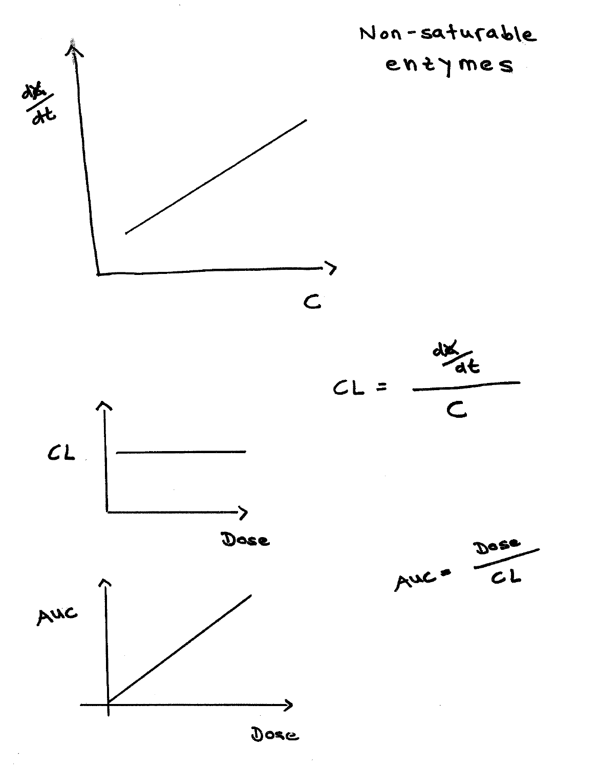